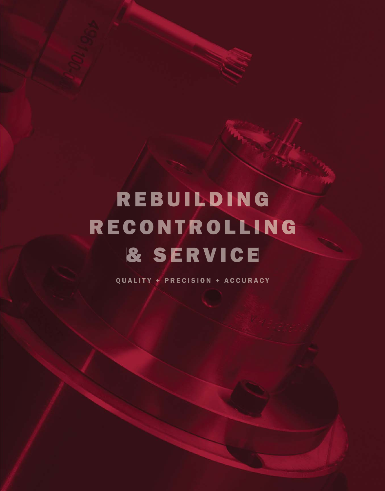# REBUILDING RECONTROLLING & SERVICE

QUALITY + PRECISION + ACCURACY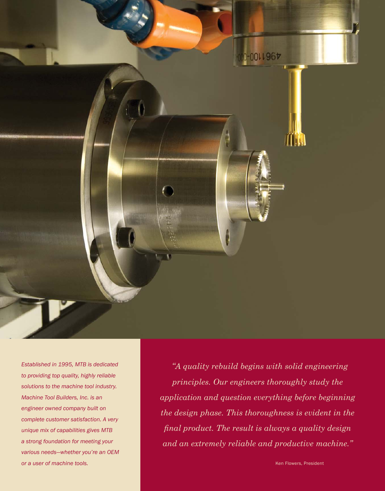

*Established in 1995, MTB is dedicated to providing top quality, highly reliable solutions to the machine tool industry. Machine Tool Builders, Inc. is an engineer owned company built on complete customer satisfaction. A very unique mix of capabilities gives MTB a strong foundation for meeting your various needs—whether you're an OEM*  **or a user of machine tools.** Ken Flowers, President Control of the Control of the Control of the Control of the Control of the Control of the Control of the Control of the Control of the Control of the Control of the Cont

 *"A quality rebuild begins with solid engineering principles. Our engineers thoroughly study the application and question everything before beginning the design phase. This thoroughness is evident in the fi nal product. The result is always a quality design and an extremely reliable and productive machine."*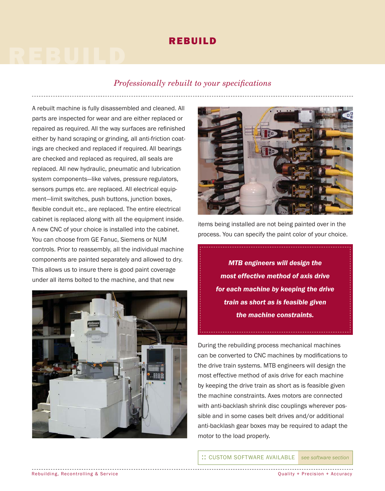### REBUILD

# REBUILD

#### *Professionally rebuilt to your specifications*

A rebuilt machine is fully disassembled and cleaned. All parts are inspected for wear and are either replaced or repaired as required. All the way surfaces are refinished either by hand scraping or grinding, all anti-friction coatings are checked and replaced if required. All bearings are checked and replaced as required, all seals are replaced. All new hydraulic, pneumatic and lubrication system components—like valves, pressure regulators, sensors pumps etc. are replaced. All electrical equipment—limit switches, push buttons, junction boxes, flexible conduit etc., are replaced. The entire electrical cabinet is replaced along with all the equipment inside. A new CNC of your choice is installed into the cabinet. You can choose from GE Fanuc, Siemens or NUM controls. Prior to reassembly, all the individual machine components are painted separately and allowed to dry. This allows us to insure there is good paint coverage under all items bolted to the machine, and that new





items being installed are not being painted over in the process. You can specify the paint color of your choice.

*MTB engineers will design the most effective method of axis drive for each machine by keeping the drive train as short as is feasible given the machine constraints.*

During the rebuilding process mechanical machines can be converted to CNC machines by modifications to the drive train systems. MTB engineers will design the most effective method of axis drive for each machine by keeping the drive train as short as is feasible given the machine constraints. Axes motors are connected with anti-backlash shrink disc couplings wherever possible and in some cases belt drives and/or additional anti-backlash gear boxes may be required to adapt the motor to the load properly.

...<br>CUSTOM SOFTWARE AVAILABLE see software section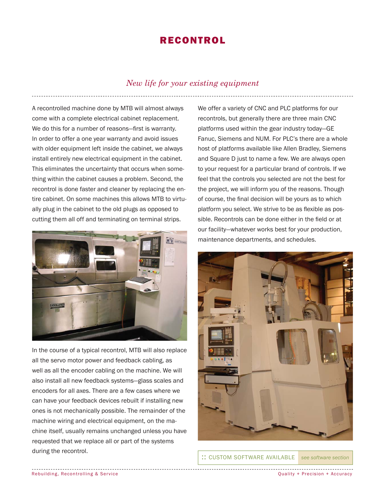## RECONTROL RECONTROL

#### *New life for your existing equipment*

A recontrolled machine done by MTB will almost always come with a complete electrical cabinet replacement. We do this for a number of reasons-first is warranty. In order to offer a one year warranty and avoid issues with older equipment left inside the cabinet, we always install entirely new electrical equipment in the cabinet. This eliminates the uncertainty that occurs when something within the cabinet causes a problem. Second, the recontrol is done faster and cleaner by replacing the entire cabinet. On some machines this allows MTB to virtually plug in the cabinet to the old plugs as opposed to cutting them all off and terminating on terminal strips.



In the course of a typical recontrol, MTB will also replace all the servo motor power and feedback cabling, as well as all the encoder cabling on the machine. We will also install all new feedback systems—glass scales and encoders for all axes. There are a few cases where we can have your feedback devices rebuilt if installing new ones is not mechanically possible. The remainder of the machine wiring and electrical equipment, on the machine itself, usually remains unchanged unless you have requested that we replace all or part of the systems during the recontrol.

We offer a variety of CNC and PLC platforms for our recontrols, but generally there are three main CNC platforms used within the gear industry today—GE Fanuc, Siemens and NUM. For PLC's there are a whole host of platforms available like Allen Bradley, Siemens and Square D just to name a few. We are always open to your request for a particular brand of controls. If we feel that the controls you selected are not the best for the project, we will inform you of the reasons. Though of course, the final decision will be yours as to which platform you select. We strive to be as flexible as possible. Recontrols can be done either in the field or at our facility—whatever works best for your production, maintenance departments, and schedules.



...<br>CUSTOM SOFTWARE AVAILABLE see software section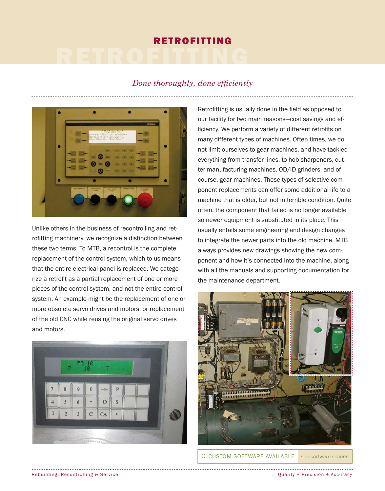# RETROFITTING RETROFITTING

### *Done thoroughly, done efficiently*



Unlike others in the business of recontrolling and retrofitting machinery, we recognize a distinction between these two terms. To MTB, a recontrol is the complete replacement of the control system, which to us means that the entire electrical panel is replaced. We categorize a retrofit as a partial replacement of one or more pieces of the control system, and not the entire control system. An example might be the replacement of one or more obsolete servo drives and motors, or replacement of the old CNC while reusing the original servo drives and motors.



Retrofitting is usually done in the field as opposed to our facility for two main reasons—cost savings and efficiency. We perform a variety of different retrofits on many different types of machines. Often times, we do not limit ourselves to gear machines, and have tackled everything from transfer lines, to hob sharpeners, cutter manufacturing machines, OD/ID grinders, and of course, gear machines. These types of selective component replacements can offer some additional life to a machine that is older, but not in terrible condition. Quite often, the component that failed is no longer available so newer equipment is substituted in its place. This usually entails some engineering and design changes to integrate the newer parts into the old machine. MTB always provides new drawings showing the new component and how it's connected into the machine, along with all the manuals and supporting documentation for the maintenance department.



...<br>CUSTOM SOFTWARE AVAILABLE see software section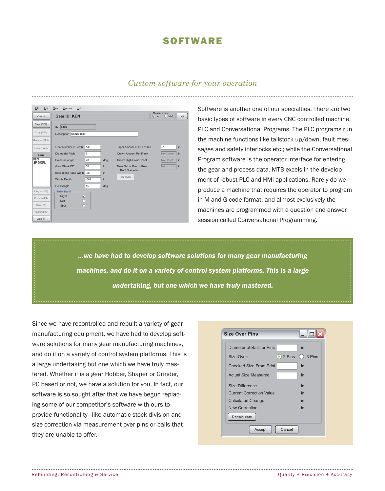## **SOFTWARE**

#### *Custom software for your operation*

| Cancel                                                                | <b>Gear ID: KEN</b>                                                                                                               |                                           |                       |                                                                                                                                          | Measurement<br>$\odot$ Inch<br>$O$ MM             | Help                 |
|-----------------------------------------------------------------------|-----------------------------------------------------------------------------------------------------------------------------------|-------------------------------------------|-----------------------|------------------------------------------------------------------------------------------------------------------------------------------|---------------------------------------------------|----------------------|
| Save (SF?)<br>Copy (SF2)<br>Rename (SF3)                              | KEN<br>ID<br>Description KENS TEST                                                                                                |                                           |                       |                                                                                                                                          |                                                   |                      |
| Delete (SF4)<br>Gears<br><b>KEN</b><br><b>SP-552RL</b>                | Gear Number of Teeth<br><b>Diametrial Pitch</b><br>Pressure angle<br>Gear Blank OD<br>Bear Blank Face Width<br><b>Whole Depth</b> | 148<br>5<br>20<br>30<br>.25<br>.001<br>15 | deg<br>in<br>in<br>in | Taper Amount at End of Cut<br>Crown Amount Per Flank<br>Crown High Point Offset<br>Near Net or Precut Gear<br>Root Diameter<br>Dip Cycle | $-.1$<br>No Crown<br>No Offset<br>IN <sub>o</sub> | in<br>in<br>in<br>in |
| Program (F5)<br>Process (F4)<br>Gear (F3)<br>Cutter (F2)<br>Exit (F8) | <b>Helix Angle</b><br>- Helix Hand-<br>Right<br>$\odot$<br>Left<br>$\bigcirc$<br>Spur                                             |                                           | deg                   |                                                                                                                                          |                                                   |                      |

Software is another one of our specialties. There are two basic types of software in every CNC controlled machine, PLC and Conversational Programs. The PLC programs run the machine functions like tailstock up/down, fault messages and safety interlocks etc.; while the Conversational Program software is the operator interface for entering the gear and process data. MTB excels in the development of robust PLC and HMI applications. Rarely do we produce a machine that requires the operator to program in M and G code format, and almost exclusively the machines are programmed with a question and answer session called Conversational Programming.

*...we have had to develop software solutions for many gear manufacturing machines, and do it on a variety of control system platforms. This is a large undertaking, but one which we have truly mastered.*

Since we have recontrolled and rebuilt a variety of gear manufacturing equipment, we have had to develop software solutions for many gear manufacturing machines, and do it on a variety of control system platforms. This is a large undertaking but one which we have truly mastered. Whether it is a gear Hobber, Shaper or Grinder, PC based or not, we have a solution for you. In fact, our software is so sought after that we have begun replacing some of our competitor's software with ours to provide functionality—like automatic stock division and size correction via measurement over pins or balls that they are unable to offer.